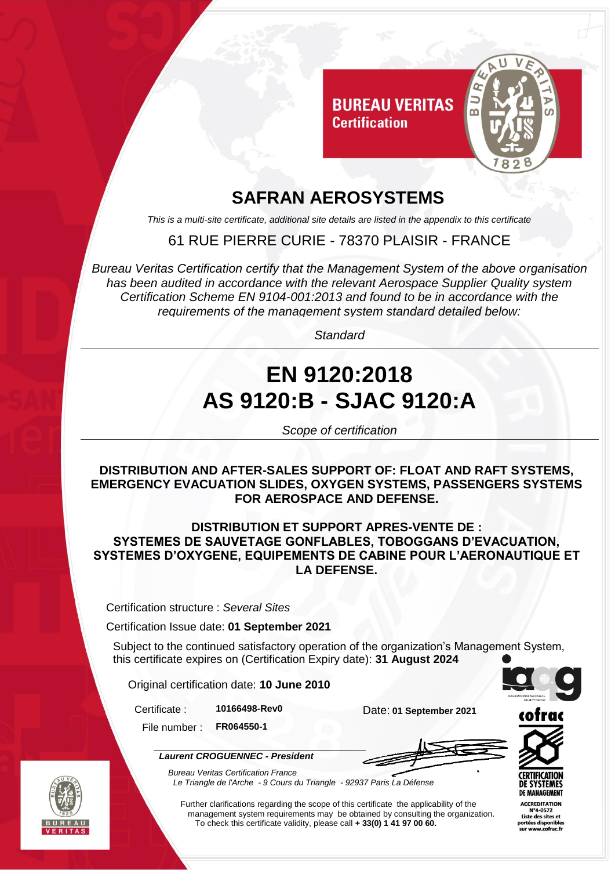

# **SAFRAN AEROSYSTEMS**

*This is a multi-site certificate, additional site details are listed in the appendix to this certificate*

### 61 RUE PIERRE CURIE - 78370 PLAISIR - FRANCE

*Bureau Veritas Certification certify that the Management System of the above organisation has been audited in accordance with the relevant Aerospace Supplier Quality system Certification Scheme EN 9104-001:2013 and found to be in accordance with the requirements of the management system standard detailed below:*

*Standard*

# **EN 9120:2018 AS 9120:B - SJAC 9120:A**

*Scope of certification*

**DISTRIBUTION AND AFTER-SALES SUPPORT OF: FLOAT AND RAFT SYSTEMS, EMERGENCY EVACUATION SLIDES, OXYGEN SYSTEMS, PASSENGERS SYSTEMS FOR AEROSPACE AND DEFENSE.**

#### **DISTRIBUTION ET SUPPORT APRES-VENTE DE : SYSTEMES DE SAUVETAGE GONFLABLES, TOBOGGANS D'EVACUATION, SYSTEMES D'OXYGENE, EQUIPEMENTS DE CABINE POUR L'AERONAUTIQUE ET LA DEFENSE.**

Certification structure : *Several Sites*

Certification Issue date: **01 September 2021**

Subject to the continued satisfactory operation of the organization's Management System, this certificate expires on (Certification Expiry date): **31 August 2024**

Original certification date: **10 June 2010**

File number : **FR064550-1**

Certificate : **10166498-Rev0** Date: **01 September 2021**



*Laurent CROGUENNEC - President*





DE MANAGEMENT

**ACCREDITATION** N°4-0572 Liste des sites et



*Bureau Veritas Certification France Le Triangle de l'Arche - 9 Cours du Triangle - 92937 Paris La Défense* 

Further clarifications regarding the scope of this certificate the applicability of the management system requirements may be obtained by consulting the organization. To check this certificate validity, please call **+ 33(0) 1 41 97 00 60.**